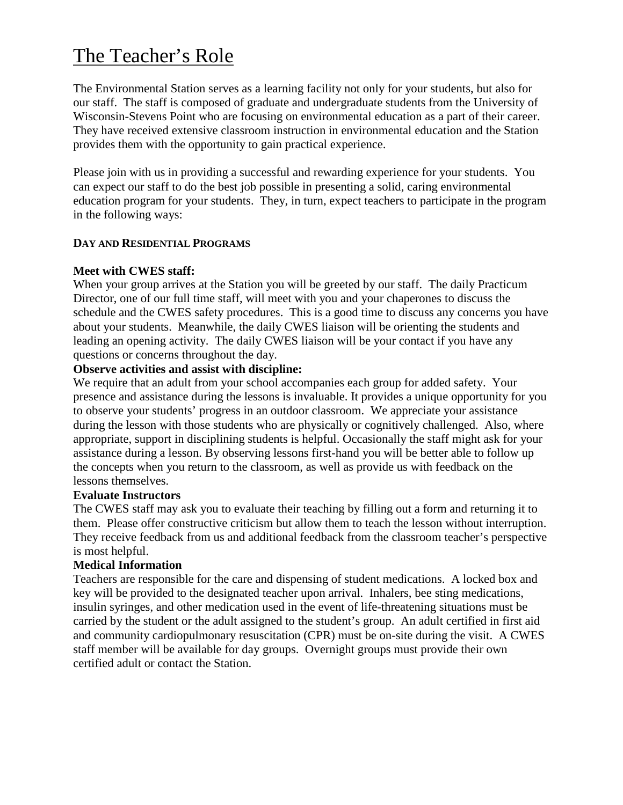# The Teacher's Role

The Environmental Station serves as a learning facility not only for your students, but also for our staff. The staff is composed of graduate and undergraduate students from the University of Wisconsin-Stevens Point who are focusing on environmental education as a part of their career. They have received extensive classroom instruction in environmental education and the Station provides them with the opportunity to gain practical experience.

Please join with us in providing a successful and rewarding experience for your students. You can expect our staff to do the best job possible in presenting a solid, caring environmental education program for your students. They, in turn, expect teachers to participate in the program in the following ways:

## **DAY AND RESIDENTIAL PROGRAMS**

## **Meet with CWES staff:**

When your group arrives at the Station you will be greeted by our staff. The daily Practicum Director, one of our full time staff, will meet with you and your chaperones to discuss the schedule and the CWES safety procedures. This is a good time to discuss any concerns you have about your students. Meanwhile, the daily CWES liaison will be orienting the students and leading an opening activity. The daily CWES liaison will be your contact if you have any questions or concerns throughout the day.

# **Observe activities and assist with discipline:**

We require that an adult from your school accompanies each group for added safety. Your presence and assistance during the lessons is invaluable. It provides a unique opportunity for you to observe your students' progress in an outdoor classroom. We appreciate your assistance during the lesson with those students who are physically or cognitively challenged. Also, where appropriate, support in disciplining students is helpful. Occasionally the staff might ask for your assistance during a lesson. By observing lessons first-hand you will be better able to follow up the concepts when you return to the classroom, as well as provide us with feedback on the lessons themselves.

## **Evaluate Instructors**

The CWES staff may ask you to evaluate their teaching by filling out a form and returning it to them. Please offer constructive criticism but allow them to teach the lesson without interruption. They receive feedback from us and additional feedback from the classroom teacher's perspective is most helpful.

## **Medical Information**

Teachers are responsible for the care and dispensing of student medications.A locked box and key will be provided to the designated teacher upon arrival. Inhalers, bee sting medications, insulin syringes, and other medication used in the event of life-threatening situations must be carried by the student or the adult assigned to the student's group. An adult certified in first aid and community cardiopulmonary resuscitation (CPR) must be on-site during the visit. A CWES staff member will be available for day groups. Overnight groups must provide their own certified adult or contact the Station.